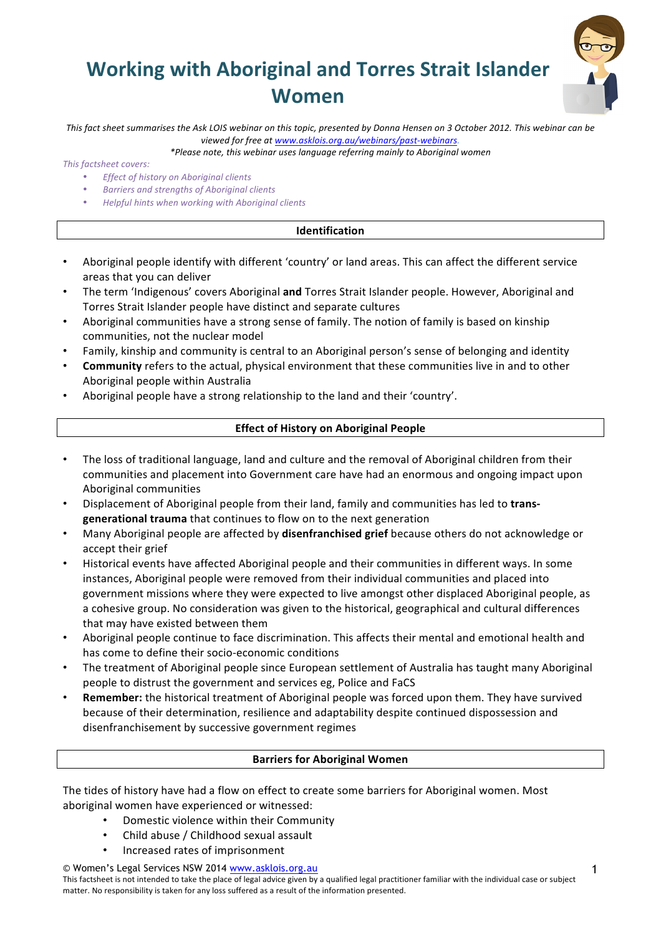# **Working with Aboriginal and Torres Strait Islander Women**



This fact sheet summarises the Ask LOIS webinar on this topic, presented by Donna Hensen on 3 October 2012. This webinar can be viewed for free at www.asklois.org.au/webinars/past-webinars.

*\*Please note, this webinar uses language referring mainly to Aboriginal women*

*This factsheet covers:*

- *Effect of history on Aboriginal clients*
- *Barriers and strengths of Aboriginal clients*
- *Helpful hints when working with Aboriginal clients*

## **Identification**

- Aboriginal people identify with different 'country' or land areas. This can affect the different service areas that you can deliver
- The term 'Indigenous' covers Aboriginal and Torres Strait Islander people. However, Aboriginal and Torres Strait Islander people have distinct and separate cultures
- Aboriginal communities have a strong sense of family. The notion of family is based on kinship communities, not the nuclear model
- Family, kinship and community is central to an Aboriginal person's sense of belonging and identity
- **Community** refers to the actual, physical environment that these communities live in and to other Aboriginal people within Australia
- Aboriginal people have a strong relationship to the land and their 'country'.

# **Effect of History on Aboriginal People**

- The loss of traditional language, land and culture and the removal of Aboriginal children from their communities and placement into Government care have had an enormous and ongoing impact upon Aboriginal communities
- Displacement of Aboriginal people from their land, family and communities has led to trans**generational trauma** that continues to flow on to the next generation
- Many Aboriginal people are affected by **disenfranchised grief** because others do not acknowledge or accept their grief
- Historical events have affected Aboriginal people and their communities in different ways. In some instances, Aboriginal people were removed from their individual communities and placed into government missions where they were expected to live amongst other displaced Aboriginal people, as a cohesive group. No consideration was given to the historical, geographical and cultural differences that may have existed between them
- Aboriginal people continue to face discrimination. This affects their mental and emotional health and has come to define their socio-economic conditions
- The treatment of Aboriginal people since European settlement of Australia has taught many Aboriginal people to distrust the government and services eg, Police and FaCS
- **Remember:** the historical treatment of Aboriginal people was forced upon them. They have survived because of their determination, resilience and adaptability despite continued dispossession and disenfranchisement by successive government regimes

## **Barriers for Aboriginal Women**

The tides of history have had a flow on effect to create some barriers for Aboriginal women. Most aboriginal women have experienced or witnessed:

- Domestic violence within their Community
- Child abuse / Childhood sexual assault
- Increased rates of imprisonment

© Women's Legal Services NSW 2014 www.asklois.org.au

This factsheet is not intended to take the place of legal advice given by a qualified legal practitioner familiar with the individual case or subject matter. No responsibility is taken for any loss suffered as a result of the information presented.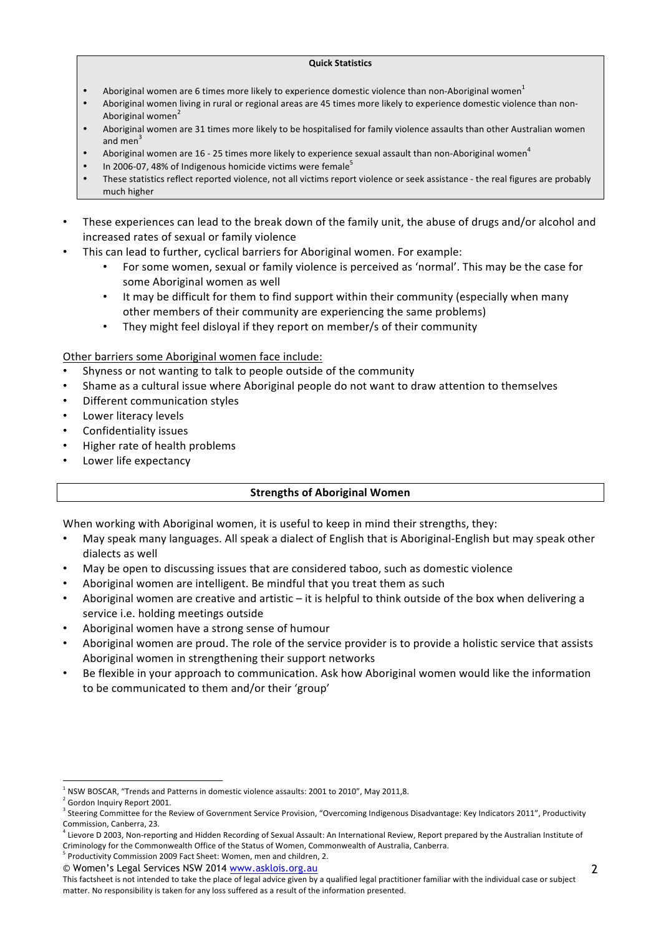#### **Quick Statistics**

- Aboriginal women are 6 times more likely to experience domestic violence than non-Aboriginal women<sup>1</sup>
- Aboriginal women living in rural or regional areas are 45 times more likely to experience domestic violence than non-Aboriginal women<sup>2</sup>
- Aboriginal women are 31 times more likely to be hospitalised for family violence assaults than other Australian women and men<sup>3</sup>
- Aboriginal women are 16 25 times more likely to experience sexual assault than non-Aboriginal women<sup>4</sup>
- In 2006-07, 48% of Indigenous homicide victims were female<sup>5</sup>
- These statistics reflect reported violence, not all victims report violence or seek assistance the real figures are probably much higher
- These experiences can lead to the break down of the family unit, the abuse of drugs and/or alcohol and increased rates of sexual or family violence
- This can lead to further, cyclical barriers for Aboriginal women. For example:
	- For some women, sexual or family violence is perceived as 'normal'. This may be the case for some Aboriginal women as well
	- It may be difficult for them to find support within their community (especially when many other members of their community are experiencing the same problems)
	- They might feel disloyal if they report on member/s of their community

Other barriers some Aboriginal women face include:

- Shyness or not wanting to talk to people outside of the community
- Shame as a cultural issue where Aboriginal people do not want to draw attention to themselves
- Different communication styles
- Lower literacy levels
- Confidentiality issues
- Higher rate of health problems
- Lower life expectancy

## **Strengths of Aboriginal Women**

When working with Aboriginal women, it is useful to keep in mind their strengths, they:

- May speak many languages. All speak a dialect of English that is Aboriginal-English but may speak other dialects as well
- May be open to discussing issues that are considered taboo, such as domestic violence
- Aboriginal women are intelligent. Be mindful that you treat them as such
- Aboriginal women are creative and artistic  $-$  it is helpful to think outside of the box when delivering a service i.e. holding meetings outside
- Aboriginal women have a strong sense of humour
- Aboriginal women are proud. The role of the service provider is to provide a holistic service that assists Aboriginal women in strengthening their support networks
- Be flexible in your approach to communication. Ask how Aboriginal women would like the information to be communicated to them and/or their 'group'

 $<sup>1</sup>$  NSW BOSCAR, "Trends and Patterns in domestic violence assaults: 2001 to 2010", May 2011,8.</sup>

 $2$  Gordon Inquiry Report 2001.

<sup>&</sup>lt;sup>3</sup> Steering Committee for the Review of Government Service Provision, "Overcoming Indigenous Disadvantage: Key Indicators 2011", Productivity Commission, Canberra, 23.

 $^4$  Lievore D 2003, Non-reporting and Hidden Recording of Sexual Assault: An International Review, Report prepared by the Australian Institute of Criminology for the Commonwealth Office of the Status of Women, Commonwealth of Australia, Canberra.

<sup>©</sup> Women's Legal Services NSW 2014 www.asklois.org.au <sup>5</sup> Productivity Commission 2009 Fact Sheet: Women, men and children, 2.

This factsheet is not intended to take the place of legal advice given by a qualified legal practitioner familiar with the individual case or subject matter. No responsibility is taken for any loss suffered as a result of the information presented.